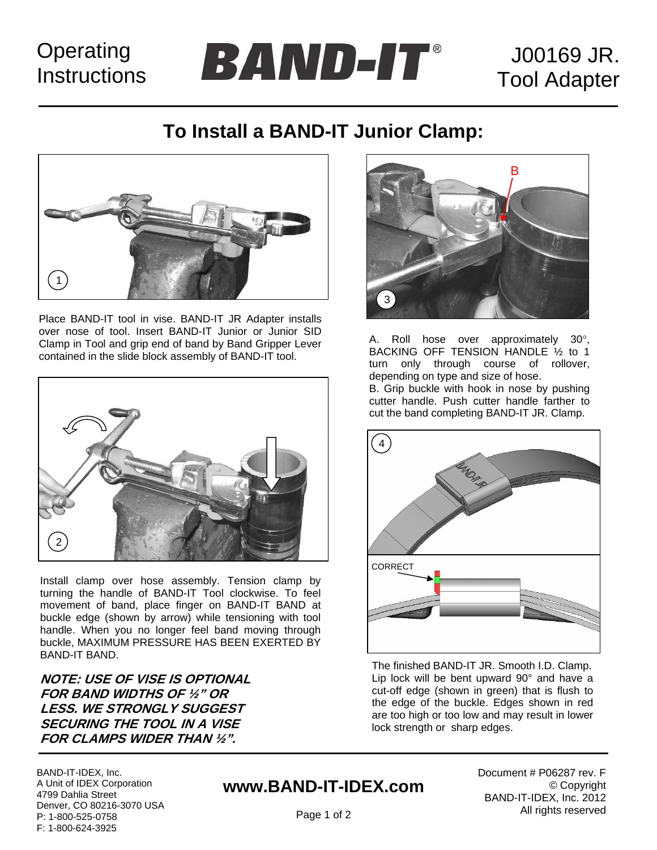## **Operating Instructions**

J00169 JR. Tool Adapter

B

### **To Install a BAND-IT Junior Clamp:**

**BAND-IT**®



Place BAND-IT tool in vise. BAND-IT JR Adapter installs over nose of tool. Insert BAND-IT Junior or Junior SID Clamp in Tool and grip end of band by Band Gripper Lever contained in the slide block assembly of BAND-IT tool.



Install clamp over hose assembly. Tension clamp by turning the handle of BAND-IT Tool clockwise. To feel movement of band, place finger on BAND-IT BAND at buckle edge (shown by arrow) while tensioning with tool handle. When you no longer feel band moving through buckle, MAXIMUM PRESSURE HAS BEEN EXERTED BY BAND-IT BAND.

**NOTE: USE OF VISE IS OPTIONAL FOR BAND WIDTHS OF ½" OR LESS. WE STRONGLY SUGGEST SECURING THE TOOL IN A VISE FOR CLAMPS WIDER THAN ½".** 

BAND-IT-IDEX, Inc. A Unit of IDEX Corporation 4799 Dahlia Street Denver, CO 80216-3070 USA P: 1-800-525-0758 F: 1-800-624-3925

### **www.BAND-IT-IDEX.com**

Document # P06287 rev. F © Copyright BAND-IT-IDEX, Inc. 2012 All rights reserved



3



A. Roll hose over approximately 30°, BACKING OFF TENSION HANDLE ½ to 1

The finished BAND-IT JR. Smooth I.D. Clamp. Lip lock will be bent upward 90° and have a cut-off edge (shown in green) that is flush to the edge of the buckle. Edges shown in red are too high or too low and may result in lower lock strength or sharp edges.

Page 1 of 2